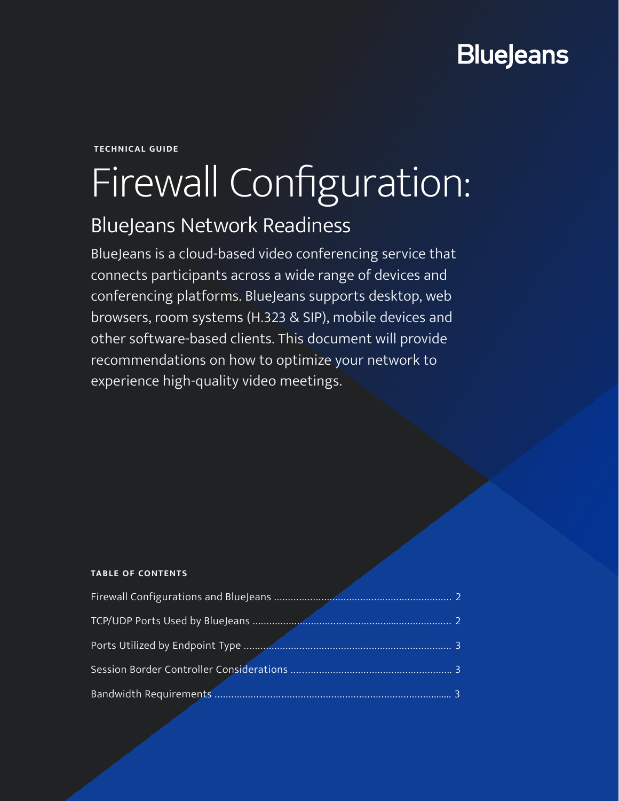## **BlueJeans**

**TECHNICAL GUIDE**

# Firewall Configuration:

### BlueJeans Network Readiness

BlueJeans is a cloud-based video conferencing service that connects participants across a wide range of devices and conferencing platforms. BlueJeans supports desktop, web browsers, room systems (H.323 & SIP), mobile devices and other software-based clients. This document will provide recommendations on how to optimize your network to experience high-quality video meetings.

#### **TABLE OF CONTENTS**

| Firewall Configurations and BlueJeans |  |
|---------------------------------------|--|
| TCP/UDP Ports Used by BlueJeans       |  |
| Ports Utilized by Endpoint Type       |  |
|                                       |  |
| <b>Bandwidth Requirements</b>         |  |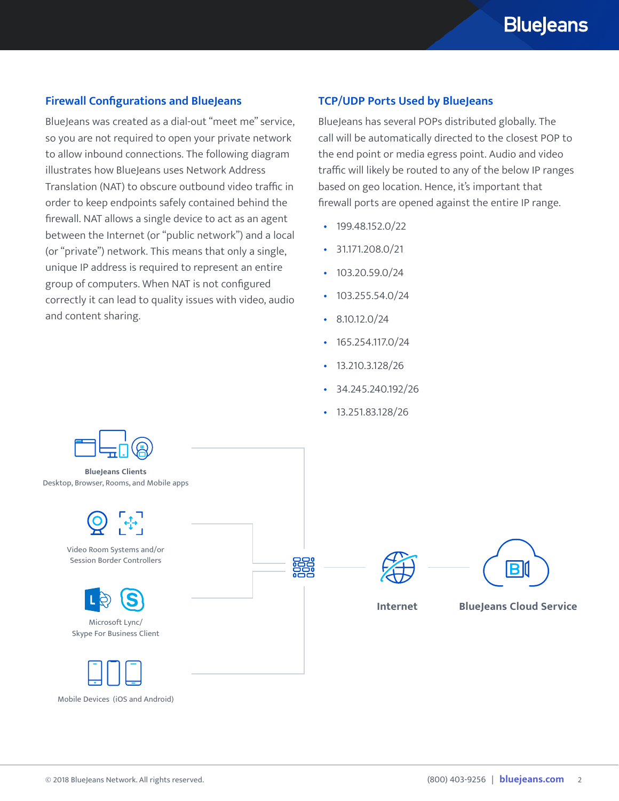#### <span id="page-1-0"></span>**Firewall Configurations and BlueJeans**

BlueJeans was created as a dial-out "meet me" service, so you are not required to open your private network to allow inbound connections. The following diagram illustrates how BlueJeans uses Network Address Translation (NAT) to obscure outbound video traffic in order to keep endpoints safely contained behind the firewall. NAT allows a single device to act as an agent between the Internet (or "public network") and a local (or "private") network. This means that only a single, unique IP address is required to represent an entire group of computers. When NAT is not configured correctly it can lead to quality issues with video, audio and content sharing.

#### **TCP/UDP Ports Used by BlueJeans**

BlueJeans has several POPs distributed globally. The call will be automatically directed to the closest POP to the end point or media egress point. Audio and video traffic will likely be routed to any of the below IP ranges based on geo location. Hence, it's important that firewall ports are opened against the entire IP range.

- $\cdot$  199.48.152.0/22
- 31.171.208.0/21
- $\cdot$  103.20.59.0/24
- 103.255.54.0/24
- $\cdot$  8.10.12.0/24
- $\cdot$  165.254.117.0/24
- 13.210.3.128/26
- 34.245.240.192/26
- 13.251.83.128/26



Mobile Devices (iOS and Android)